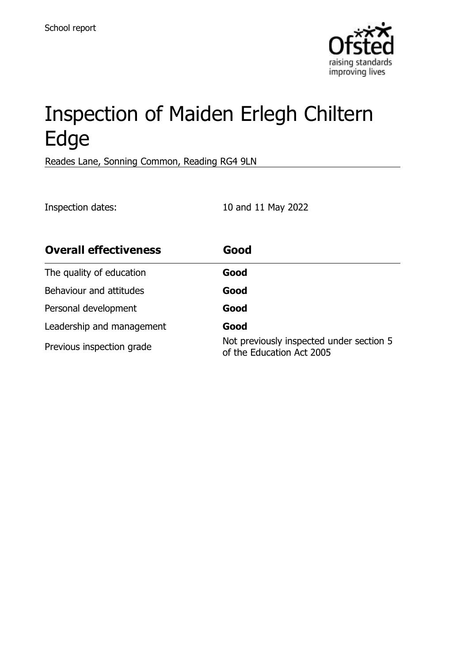

# Inspection of Maiden Erlegh Chiltern Edge

Reades Lane, Sonning Common, Reading RG4 9LN

Inspection dates: 10 and 11 May 2022

| <b>Overall effectiveness</b> | Good                                                                  |
|------------------------------|-----------------------------------------------------------------------|
| The quality of education     | Good                                                                  |
| Behaviour and attitudes      | Good                                                                  |
| Personal development         | Good                                                                  |
| Leadership and management    | Good                                                                  |
| Previous inspection grade    | Not previously inspected under section 5<br>of the Education Act 2005 |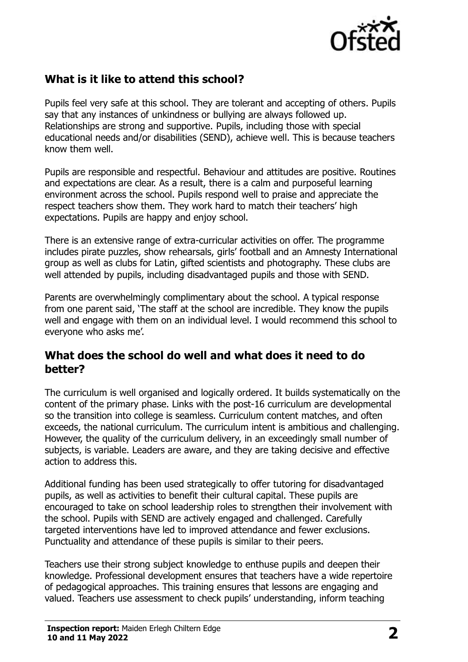

# **What is it like to attend this school?**

Pupils feel very safe at this school. They are tolerant and accepting of others. Pupils say that any instances of unkindness or bullying are always followed up. Relationships are strong and supportive. Pupils, including those with special educational needs and/or disabilities (SEND), achieve well. This is because teachers know them well.

Pupils are responsible and respectful. Behaviour and attitudes are positive. Routines and expectations are clear. As a result, there is a calm and purposeful learning environment across the school. Pupils respond well to praise and appreciate the respect teachers show them. They work hard to match their teachers' high expectations. Pupils are happy and enjoy school.

There is an extensive range of extra-curricular activities on offer. The programme includes pirate puzzles, show rehearsals, girls' football and an Amnesty International group as well as clubs for Latin, gifted scientists and photography. These clubs are well attended by pupils, including disadvantaged pupils and those with SEND.

Parents are overwhelmingly complimentary about the school. A typical response from one parent said, 'The staff at the school are incredible. They know the pupils well and engage with them on an individual level. I would recommend this school to everyone who asks me'.

#### **What does the school do well and what does it need to do better?**

The curriculum is well organised and logically ordered. It builds systematically on the content of the primary phase. Links with the post-16 curriculum are developmental so the transition into college is seamless. Curriculum content matches, and often exceeds, the national curriculum. The curriculum intent is ambitious and challenging. However, the quality of the curriculum delivery, in an exceedingly small number of subjects, is variable. Leaders are aware, and they are taking decisive and effective action to address this.

Additional funding has been used strategically to offer tutoring for disadvantaged pupils, as well as activities to benefit their cultural capital. These pupils are encouraged to take on school leadership roles to strengthen their involvement with the school. Pupils with SEND are actively engaged and challenged. Carefully targeted interventions have led to improved attendance and fewer exclusions. Punctuality and attendance of these pupils is similar to their peers.

Teachers use their strong subject knowledge to enthuse pupils and deepen their knowledge. Professional development ensures that teachers have a wide repertoire of pedagogical approaches. This training ensures that lessons are engaging and valued. Teachers use assessment to check pupils' understanding, inform teaching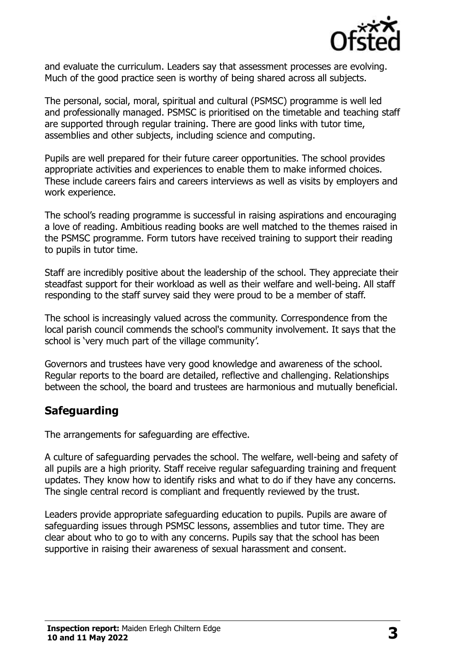

and evaluate the curriculum. Leaders say that assessment processes are evolving. Much of the good practice seen is worthy of being shared across all subjects.

The personal, social, moral, spiritual and cultural (PSMSC) programme is well led and professionally managed. PSMSC is prioritised on the timetable and teaching staff are supported through regular training. There are good links with tutor time, assemblies and other subjects, including science and computing.

Pupils are well prepared for their future career opportunities. The school provides appropriate activities and experiences to enable them to make informed choices. These include careers fairs and careers interviews as well as visits by employers and work experience.

The school's reading programme is successful in raising aspirations and encouraging a love of reading. Ambitious reading books are well matched to the themes raised in the PSMSC programme. Form tutors have received training to support their reading to pupils in tutor time.

Staff are incredibly positive about the leadership of the school. They appreciate their steadfast support for their workload as well as their welfare and well-being. All staff responding to the staff survey said they were proud to be a member of staff.

The school is increasingly valued across the community. Correspondence from the local parish council commends the school's community involvement. It says that the school is 'very much part of the village community'.

Governors and trustees have very good knowledge and awareness of the school. Regular reports to the board are detailed, reflective and challenging. Relationships between the school, the board and trustees are harmonious and mutually beneficial.

#### **Safeguarding**

The arrangements for safeguarding are effective.

A culture of safeguarding pervades the school. The welfare, well-being and safety of all pupils are a high priority. Staff receive regular safeguarding training and frequent updates. They know how to identify risks and what to do if they have any concerns. The single central record is compliant and frequently reviewed by the trust.

Leaders provide appropriate safeguarding education to pupils. Pupils are aware of safeguarding issues through PSMSC lessons, assemblies and tutor time. They are clear about who to go to with any concerns. Pupils say that the school has been supportive in raising their awareness of sexual harassment and consent.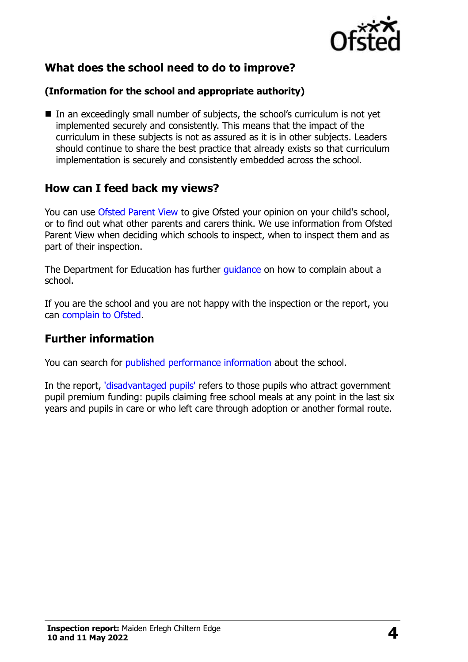

# **What does the school need to do to improve?**

#### **(Information for the school and appropriate authority)**

■ In an exceedingly small number of subjects, the school's curriculum is not yet implemented securely and consistently. This means that the impact of the curriculum in these subjects is not as assured as it is in other subjects. Leaders should continue to share the best practice that already exists so that curriculum implementation is securely and consistently embedded across the school.

#### **How can I feed back my views?**

You can use [Ofsted Parent View](http://parentview.ofsted.gov.uk/) to give Ofsted your opinion on your child's school, or to find out what other parents and carers think. We use information from Ofsted Parent View when deciding which schools to inspect, when to inspect them and as part of their inspection.

The Department for Education has further quidance on how to complain about a school.

If you are the school and you are not happy with the inspection or the report, you can [complain to Ofsted.](http://www.gov.uk/complain-ofsted-report)

#### **Further information**

You can search for [published performance information](http://www.compare-school-performance.service.gov.uk/) about the school.

In the report, ['disadvantaged pupils'](http://www.gov.uk/guidance/pupil-premium-information-for-schools-and-alternative-provision-settings) refers to those pupils who attract government pupil premium funding: pupils claiming free school meals at any point in the last six years and pupils in care or who left care through adoption or another formal route.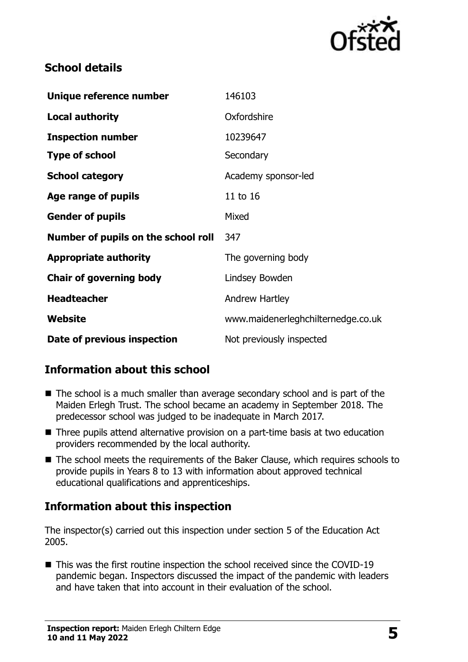

#### **School details**

| Unique reference number             | 146103                             |  |
|-------------------------------------|------------------------------------|--|
| <b>Local authority</b>              | Oxfordshire                        |  |
| <b>Inspection number</b>            | 10239647                           |  |
| <b>Type of school</b>               | Secondary                          |  |
| <b>School category</b>              | Academy sponsor-led                |  |
| Age range of pupils                 | 11 to 16                           |  |
| <b>Gender of pupils</b>             | Mixed                              |  |
| Number of pupils on the school roll | 347                                |  |
| <b>Appropriate authority</b>        | The governing body                 |  |
| <b>Chair of governing body</b>      | Lindsey Bowden                     |  |
| <b>Headteacher</b>                  | <b>Andrew Hartley</b>              |  |
| Website                             | www.maidenerleghchilternedge.co.uk |  |
| Date of previous inspection         | Not previously inspected           |  |

# **Information about this school**

- The school is a much smaller than average secondary school and is part of the Maiden Erlegh Trust. The school became an academy in September 2018. The predecessor school was judged to be inadequate in March 2017.
- Three pupils attend alternative provision on a part-time basis at two education providers recommended by the local authority.
- The school meets the requirements of the Baker Clause, which requires schools to provide pupils in Years 8 to 13 with information about approved technical educational qualifications and apprenticeships.

# **Information about this inspection**

The inspector(s) carried out this inspection under section 5 of the Education Act 2005.

■ This was the first routine inspection the school received since the COVID-19 pandemic began. Inspectors discussed the impact of the pandemic with leaders and have taken that into account in their evaluation of the school.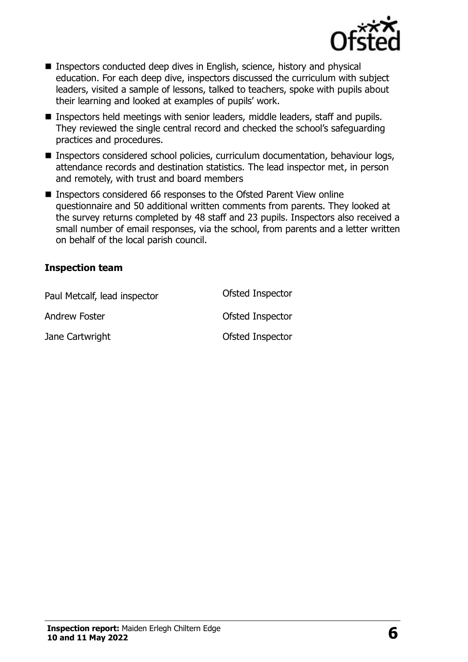

- Inspectors conducted deep dives in English, science, history and physical education. For each deep dive, inspectors discussed the curriculum with subject leaders, visited a sample of lessons, talked to teachers, spoke with pupils about their learning and looked at examples of pupils' work.
- Inspectors held meetings with senior leaders, middle leaders, staff and pupils. They reviewed the single central record and checked the school's safeguarding practices and procedures.
- Inspectors considered school policies, curriculum documentation, behaviour logs, attendance records and destination statistics. The lead inspector met, in person and remotely, with trust and board members
- Inspectors considered 66 responses to the Ofsted Parent View online questionnaire and 50 additional written comments from parents. They looked at the survey returns completed by 48 staff and 23 pupils. Inspectors also received a small number of email responses, via the school, from parents and a letter written on behalf of the local parish council.

#### **Inspection team**

| Paul Metcalf, lead inspector | Ofsted Inspector |
|------------------------------|------------------|
| Andrew Foster                | Ofsted Inspector |
| Jane Cartwright              | Ofsted Inspector |